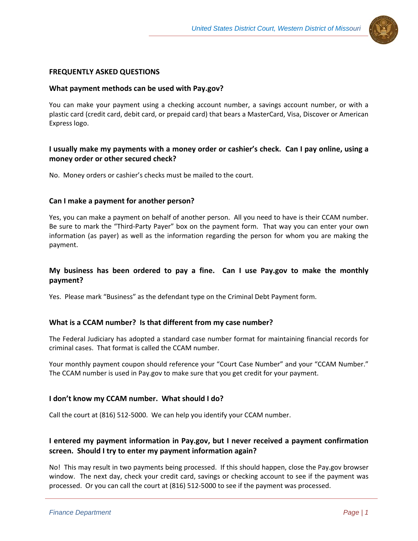

## **FREQUENTLY ASKED QUESTIONS**

### **What payment methods can be used with Pay.gov?**

You can make your payment using a checking account number, a savings account number, or with a plastic card (credit card, debit card, or prepaid card) that bears a MasterCard, Visa, Discover or American Express logo.

## **I usually make my payments with a money order or cashier's check. Can I pay online, using a money order or other secured check?**

No. Money orders or cashier's checks must be mailed to the court.

#### **Can I make a payment for another person?**

Yes, you can make a payment on behalf of another person. All you need to have is their CCAM number. Be sure to mark the "Third-Party Payer" box on the payment form. That way you can enter your own information (as payer) as well as the information regarding the person for whom you are making the payment.

## **My business has been ordered to pay a fine. Can I use Pay.gov to make the monthly payment?**

Yes. Please mark "Business" as the defendant type on the Criminal Debt Payment form.

### **What is a CCAM number? Is that different from my case number?**

The Federal Judiciary has adopted a standard case number format for maintaining financial records for criminal cases. That format is called the CCAM number.

Your monthly payment coupon should reference your "Court Case Number" and your "CCAM Number." The CCAM number is used in Pay.gov to make sure that you get credit for your payment.

### **I don't know my CCAM number. What should I do?**

Call the court at (816) 512-5000. We can help you identify your CCAM number.

# **I entered my payment information in Pay.gov, but I never received a payment confirmation screen. Should I try to enter my payment information again?**

No! This may result in two payments being processed. If this should happen, close the Pay.gov browser window. The next day, check your credit card, savings or checking account to see if the payment was processed. Or you can call the court at (816) 512-5000 to see if the payment was processed.